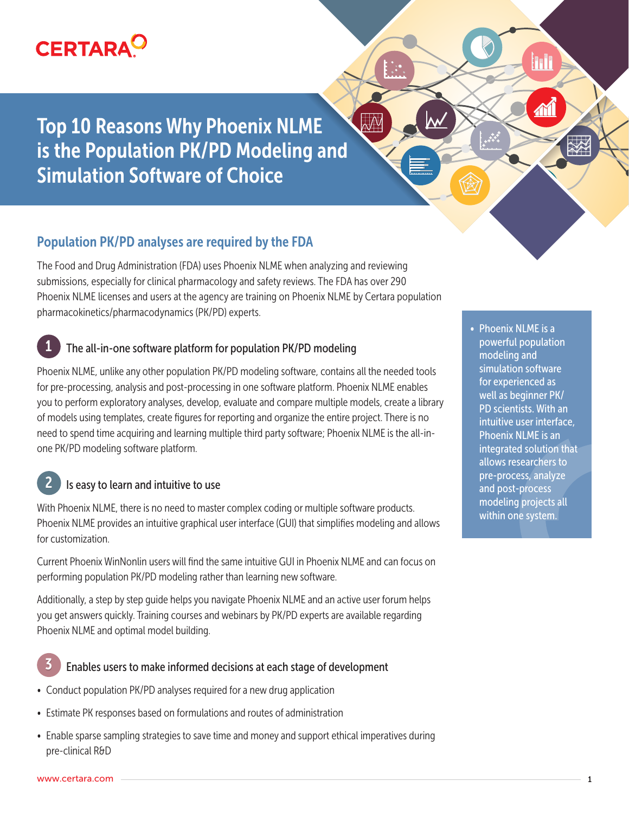

# Top 10 Reasons Why Phoenix NLME is the Population PK/PD Modeling and Simulation Software of Choice

### Population PK/PD analyses are required by the FDA

The Food and Drug Administration (FDA) uses Phoenix NLME when analyzing and reviewing submissions, especially for clinical pharmacology and safety reviews. The FDA has over 290 Phoenix NLME licenses and users at the agency are training on Phoenix NLME by Certara population pharmacokinetics/pharmacodynamics (PK/PD) experts.

#### The all-in-one software platform for population PK/PD modeling

Phoenix NLME, unlike any other population PK/PD modeling software, contains all the needed tools for pre-processing, analysis and post-processing in one software platform. Phoenix NLME enables you to perform exploratory analyses, develop, evaluate and compare multiple models, create a library of models using templates, create figures for reporting and organize the entire project. There is no need to spend time acquiring and learning multiple third party software; Phoenix NLME is the all-inone PK/PD modeling software platform.

#### Is easy to learn and intuitive to use

With Phoenix NLME, there is no need to master complex coding or multiple software products. Phoenix NLME provides an intuitive graphical user interface (GUI) that simplifies modeling and allows for customization.

Current Phoenix WinNonlin users will find the same intuitive GUI in Phoenix NLME and can focus on performing population PK/PD modeling rather than learning new software.

Additionally, a step by step guide helps you navigate Phoenix NLME and an active user forum helps you get answers quickly. Training courses and webinars by PK/PD experts are available regarding Phoenix NLME and optimal model building.

#### Enables users to make informed decisions at each stage of development

- Conduct population PK/PD analyses required for a new drug application
- Estimate PK responses based on formulations and routes of administration
- Enable sparse sampling strategies to save time and money and support ethical imperatives during pre-clinical R&D

• Phoenix NLME is a powerful population modeling and simulation software for experienced as well as beginner PK/ PD scientists. With an intuitive user interface, Phoenix NLME is an integrated solution that allows researchers to pre-process, analyze and post-process modeling projects all within one system.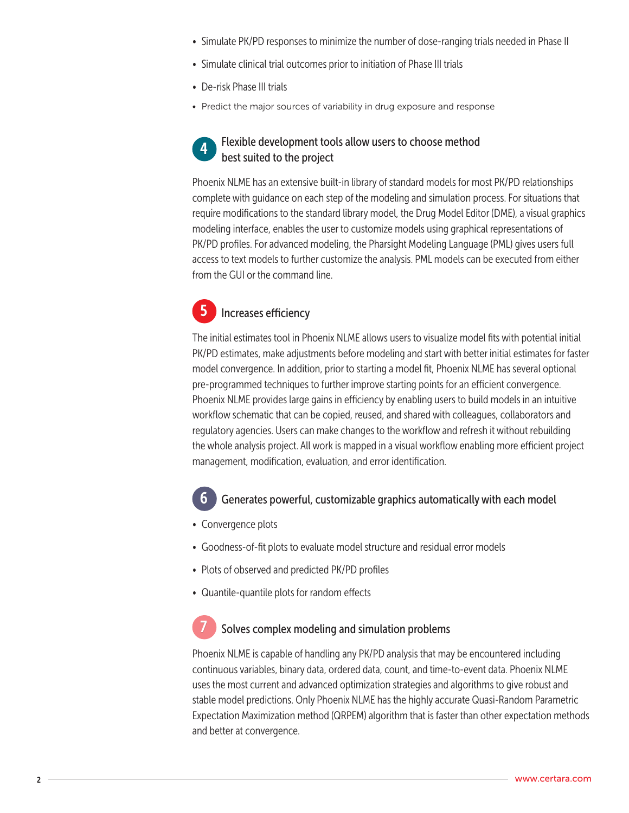- Simulate PK/PD responses to minimize the number of dose-ranging trials needed in Phase II
- Simulate clinical trial outcomes prior to initiation of Phase III trials
- De-risk Phase III trials
- Predict the major sources of variability in drug exposure and response

#### Flexible development tools allow users to choose method best suited to the project

Phoenix NLME has an extensive built-in library of standard models for most PK/PD relationships complete with guidance on each step of the modeling and simulation process. For situations that require modifications to the standard library model, the Drug Model Editor (DME), a visual graphics modeling interface, enables the user to customize models using graphical representations of PK/PD profiles. For advanced modeling, the Pharsight Modeling Language (PML) gives users full access to text models to further customize the analysis. PML models can be executed from either from the GUI or the command line.

# Increases efficiency

The initial estimates tool in Phoenix NLME allows users to visualize model fits with potential initial PK/PD estimates, make adjustments before modeling and start with better initial estimates for faster model convergence. In addition, prior to starting a model fit, Phoenix NLME has several optional pre-programmed techniques to further improve starting points for an efficient convergence. Phoenix NLME provides large gains in efficiency by enabling users to build models in an intuitive workflow schematic that can be copied, reused, and shared with colleagues, collaborators and regulatory agencies. Users can make changes to the workflow and refresh it without rebuilding the whole analysis project. All work is mapped in a visual workflow enabling more efficient project management, modification, evaluation, and error identification.

### 66 Generates powerful, customizable graphics automatically with each model

- Convergence plots
- Goodness-of-fit plots to evaluate model structure and residual error models
- Plots of observed and predicted PK/PD profiles
- Quantile-quantile plots for random effects

# Solves complex modeling and simulation problems

Phoenix NLME is capable of handling any PK/PD analysis that may be encountered including continuous variables, binary data, ordered data, count, and time-to-event data. Phoenix NLME uses the most current and advanced optimization strategies and algorithms to give robust and stable model predictions. Only Phoenix NLME has the highly accurate Quasi-Random Parametric Expectation Maximization method (QRPEM) algorithm that is faster than other expectation methods and better at convergence.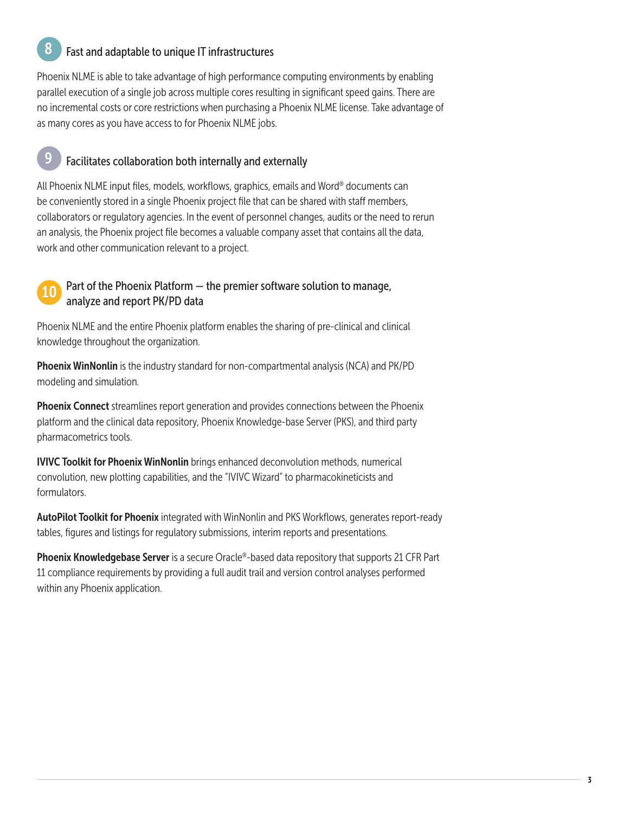## Fast and adaptable to unique IT infrastructures

Phoenix NLME is able to take advantage of high performance computing environments by enabling parallel execution of a single job across multiple cores resulting in significant speed gains. There are no incremental costs or core restrictions when purchasing a Phoenix NLME license. Take advantage of as many cores as you have access to for Phoenix NLME jobs.

#### Facilitates collaboration both internally and externally

All Phoenix NLME input files, models, workflows, graphics, emails and Word® documents can be conveniently stored in a single Phoenix project file that can be shared with staff members, collaborators or regulatory agencies. In the event of personnel changes, audits or the need to rerun an analysis, the Phoenix project file becomes a valuable company asset that contains all the data, work and other communication relevant to a project.

#### Part of the Phoenix Platform  $-$  the premier software solution to manage, analyze and report PK/PD data

Phoenix NLME and the entire Phoenix platform enables the sharing of pre-clinical and clinical knowledge throughout the organization.

Phoenix WinNonlin is the industry standard for non-compartmental analysis (NCA) and PK/PD modeling and simulation.

Phoenix Connect streamlines report generation and provides connections between the Phoenix platform and the clinical data repository, Phoenix Knowledge-base Server (PKS), and third party pharmacometrics tools.

IVIVC Toolkit for Phoenix WinNonlin brings enhanced deconvolution methods, numerical convolution, new plotting capabilities, and the "IVIVC Wizard" to pharmacokineticists and formulators.

AutoPilot Toolkit for Phoenix integrated with WinNonlin and PKS Workflows, generates report-ready tables, figures and listings for regulatory submissions, interim reports and presentations.

**Phoenix Knowledgebase Server** is a secure Oracle®-based data repository that supports 21 CFR Part 11 compliance requirements by providing a full audit trail and version control analyses performed within any Phoenix application.